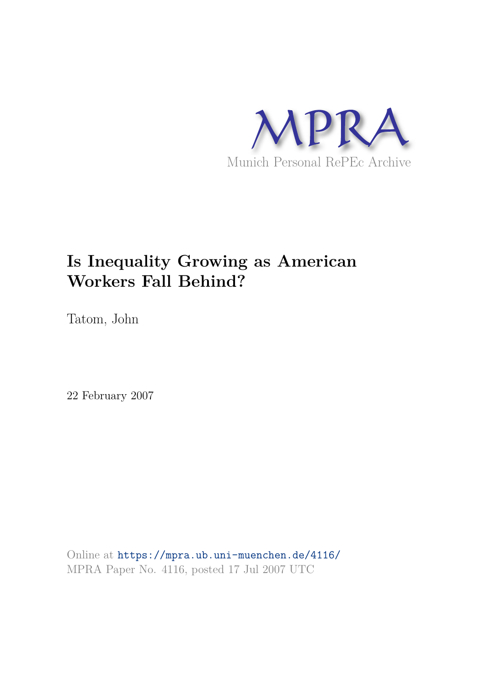

# **Is Inequality Growing as American Workers Fall Behind?**

Tatom, John

22 February 2007

Online at https://mpra.ub.uni-muenchen.de/4116/ MPRA Paper No. 4116, posted 17 Jul 2007 UTC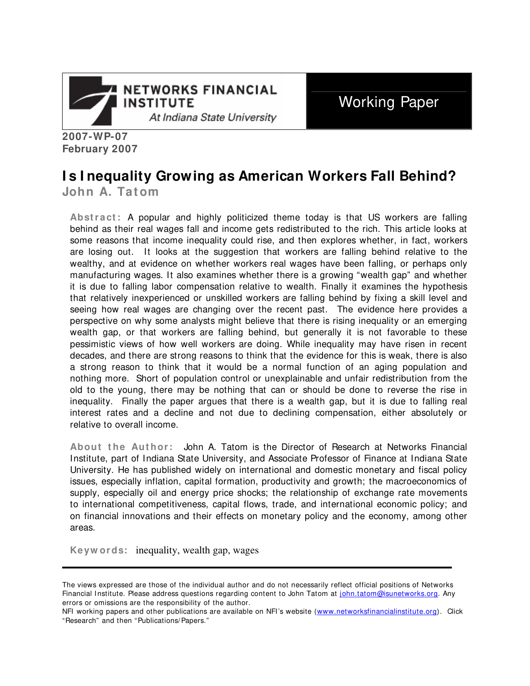

Working Paper

**2007-WP-07 February 2007**

# **I s I nequality Growing as American Workers Fall Behind?**

**John A. Tatom** 

**Abstract:** A popular and highly politicized theme today is that US workers are falling behind as their real wages fall and income gets redistributed to the rich. This article looks at some reasons that income inequality could rise, and then explores whether, in fact, workers are losing out. It looks at the suggestion that workers are falling behind relative to the wealthy, and at evidence on whether workers real wages have been falling, or perhaps only manufacturing wages. It also examines whether there is a growing "wealth gap" and whether it is due to falling labor compensation relative to wealth. Finally it examines the hypothesis that relatively inexperienced or unskilled workers are falling behind by fixing a skill level and seeing how real wages are changing over the recent past. The evidence here provides a perspective on why some analysts might believe that there is rising inequality or an emerging wealth gap, or that workers are falling behind, but generally it is not favorable to these pessimistic views of how well workers are doing. While inequality may have risen in recent decades, and there are strong reasons to think that the evidence for this is weak, there is also a strong reason to think that it would be a normal function of an aging population and nothing more. Short of population control or unexplainable and unfair redistribution from the old to the young, there may be nothing that can or should be done to reverse the rise in inequality. Finally the paper argues that there is a wealth gap, but it is due to falling real interest rates and a decline and not due to declining compensation, either absolutely or relative to overall income.

**About the Author:** John A. Tatom is the Director of Research at Networks Financial Institute, part of Indiana State University, and Associate Professor of Finance at Indiana State University. He has published widely on international and domestic monetary and fiscal policy issues, especially inflation, capital formation, productivity and growth; the macroeconomics of supply, especially oil and energy price shocks; the relationship of exchange rate movements to international competitiveness, capital flows, trade, and international economic policy; and on financial innovations and their effects on monetary policy and the economy, among other areas.

**Keyw ords:** inequality, wealth gap, wages

The views expressed are those of the individual author and do not necessarily reflect official positions of Networks Financial Institute. Please address questions regarding content to John Tatom at john.tatom@isunetworks.org. Any errors or omissions are the responsibility of the author.

NFI working papers and other publications are available on NFI's website (www.networksfinancialinstitute.org). Click "Research" and then "Publications/ Papers."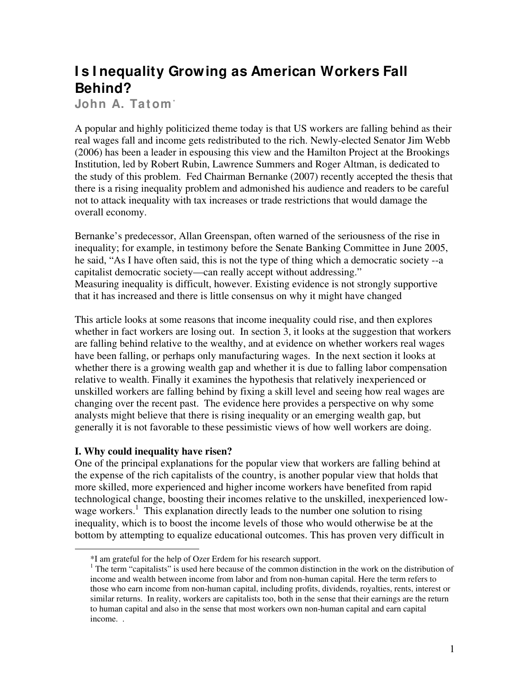# **I s I nequality Growing as American Workers Fall Behind?**

**John A. Tatom\***

A popular and highly politicized theme today is that US workers are falling behind as their real wages fall and income gets redistributed to the rich. Newly-elected Senator Jim Webb (2006) has been a leader in espousing this view and the Hamilton Project at the Brookings Institution, led by Robert Rubin, Lawrence Summers and Roger Altman, is dedicated to the study of this problem. Fed Chairman Bernanke (2007) recently accepted the thesis that there is a rising inequality problem and admonished his audience and readers to be careful not to attack inequality with tax increases or trade restrictions that would damage the overall economy.

Bernanke's predecessor, Allan Greenspan, often warned of the seriousness of the rise in inequality; for example, in testimony before the Senate Banking Committee in June 2005, he said, "As I have often said, this is not the type of thing which a democratic society --a capitalist democratic society—can really accept without addressing." Measuring inequality is difficult, however. Existing evidence is not strongly supportive that it has increased and there is little consensus on why it might have changed

This article looks at some reasons that income inequality could rise, and then explores whether in fact workers are losing out. In section 3, it looks at the suggestion that workers are falling behind relative to the wealthy, and at evidence on whether workers real wages have been falling, or perhaps only manufacturing wages. In the next section it looks at whether there is a growing wealth gap and whether it is due to falling labor compensation relative to wealth. Finally it examines the hypothesis that relatively inexperienced or unskilled workers are falling behind by fixing a skill level and seeing how real wages are changing over the recent past. The evidence here provides a perspective on why some analysts might believe that there is rising inequality or an emerging wealth gap, but generally it is not favorable to these pessimistic views of how well workers are doing.

### **I. Why could inequality have risen?**

 $\overline{a}$ 

One of the principal explanations for the popular view that workers are falling behind at the expense of the rich capitalists of the country, is another popular view that holds that more skilled, more experienced and higher income workers have benefited from rapid technological change, boosting their incomes relative to the unskilled, inexperienced lowwage workers.<sup>1</sup> This explanation directly leads to the number one solution to rising inequality, which is to boost the income levels of those who would otherwise be at the bottom by attempting to equalize educational outcomes. This has proven very difficult in

<sup>\*</sup>I am grateful for the help of Ozer Erdem for his research support.

 $<sup>1</sup>$  The term "capitalists" is used here because of the common distinction in the work on the distribution of</sup> income and wealth between income from labor and from non-human capital. Here the term refers to those who earn income from non-human capital, including profits, dividends, royalties, rents, interest or similar returns. In reality, workers are capitalists too, both in the sense that their earnings are the return to human capital and also in the sense that most workers own non-human capital and earn capital income. .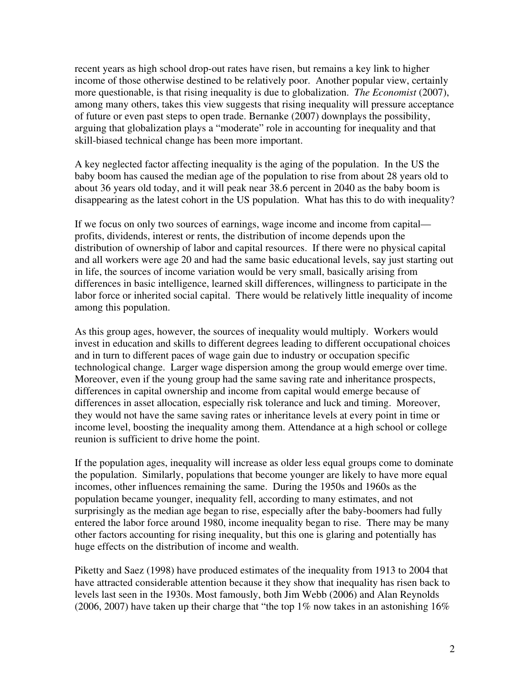recent years as high school drop-out rates have risen, but remains a key link to higher income of those otherwise destined to be relatively poor. Another popular view, certainly more questionable, is that rising inequality is due to globalization. *The Economist* (2007), among many others, takes this view suggests that rising inequality will pressure acceptance of future or even past steps to open trade. Bernanke (2007) downplays the possibility, arguing that globalization plays a "moderate" role in accounting for inequality and that skill-biased technical change has been more important.

A key neglected factor affecting inequality is the aging of the population. In the US the baby boom has caused the median age of the population to rise from about 28 years old to about 36 years old today, and it will peak near 38.6 percent in 2040 as the baby boom is disappearing as the latest cohort in the US population. What has this to do with inequality?

If we focus on only two sources of earnings, wage income and income from capital profits, dividends, interest or rents, the distribution of income depends upon the distribution of ownership of labor and capital resources. If there were no physical capital and all workers were age 20 and had the same basic educational levels, say just starting out in life, the sources of income variation would be very small, basically arising from differences in basic intelligence, learned skill differences, willingness to participate in the labor force or inherited social capital. There would be relatively little inequality of income among this population.

As this group ages, however, the sources of inequality would multiply. Workers would invest in education and skills to different degrees leading to different occupational choices and in turn to different paces of wage gain due to industry or occupation specific technological change. Larger wage dispersion among the group would emerge over time. Moreover, even if the young group had the same saving rate and inheritance prospects, differences in capital ownership and income from capital would emerge because of differences in asset allocation, especially risk tolerance and luck and timing. Moreover, they would not have the same saving rates or inheritance levels at every point in time or income level, boosting the inequality among them. Attendance at a high school or college reunion is sufficient to drive home the point.

If the population ages, inequality will increase as older less equal groups come to dominate the population. Similarly, populations that become younger are likely to have more equal incomes, other influences remaining the same. During the 1950s and 1960s as the population became younger, inequality fell, according to many estimates, and not surprisingly as the median age began to rise, especially after the baby-boomers had fully entered the labor force around 1980, income inequality began to rise. There may be many other factors accounting for rising inequality, but this one is glaring and potentially has huge effects on the distribution of income and wealth.

Piketty and Saez (1998) have produced estimates of the inequality from 1913 to 2004 that have attracted considerable attention because it they show that inequality has risen back to levels last seen in the 1930s. Most famously, both Jim Webb (2006) and Alan Reynolds (2006, 2007) have taken up their charge that "the top 1% now takes in an astonishing  $16\%$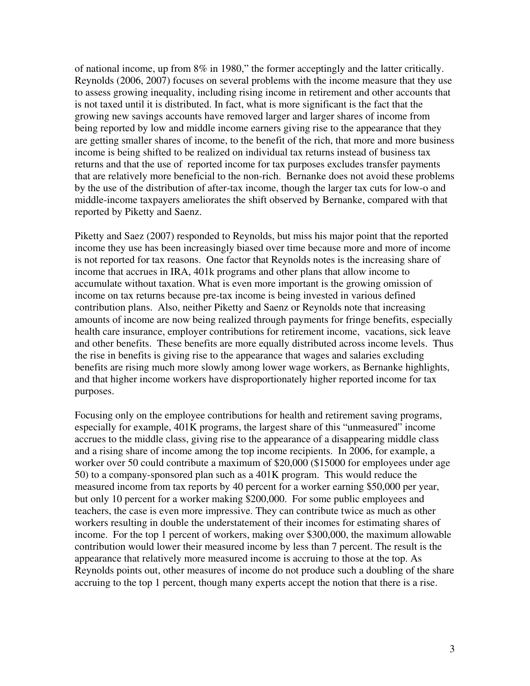of national income, up from 8% in 1980," the former acceptingly and the latter critically. Reynolds (2006, 2007) focuses on several problems with the income measure that they use to assess growing inequality, including rising income in retirement and other accounts that is not taxed until it is distributed. In fact, what is more significant is the fact that the growing new savings accounts have removed larger and larger shares of income from being reported by low and middle income earners giving rise to the appearance that they are getting smaller shares of income, to the benefit of the rich, that more and more business income is being shifted to be realized on individual tax returns instead of business tax returns and that the use of reported income for tax purposes excludes transfer payments that are relatively more beneficial to the non-rich. Bernanke does not avoid these problems by the use of the distribution of after-tax income, though the larger tax cuts for low-o and middle-income taxpayers ameliorates the shift observed by Bernanke, compared with that reported by Piketty and Saenz.

Piketty and Saez (2007) responded to Reynolds, but miss his major point that the reported income they use has been increasingly biased over time because more and more of income is not reported for tax reasons. One factor that Reynolds notes is the increasing share of income that accrues in IRA, 401k programs and other plans that allow income to accumulate without taxation. What is even more important is the growing omission of income on tax returns because pre-tax income is being invested in various defined contribution plans. Also, neither Piketty and Saenz or Reynolds note that increasing amounts of income are now being realized through payments for fringe benefits, especially health care insurance, employer contributions for retirement income, vacations, sick leave and other benefits. These benefits are more equally distributed across income levels. Thus the rise in benefits is giving rise to the appearance that wages and salaries excluding benefits are rising much more slowly among lower wage workers, as Bernanke highlights, and that higher income workers have disproportionately higher reported income for tax purposes.

Focusing only on the employee contributions for health and retirement saving programs, especially for example, 401K programs, the largest share of this "unmeasured" income accrues to the middle class, giving rise to the appearance of a disappearing middle class and a rising share of income among the top income recipients. In 2006, for example, a worker over 50 could contribute a maximum of \$20,000 (\$15000 for employees under age 50) to a company-sponsored plan such as a 401K program. This would reduce the measured income from tax reports by 40 percent for a worker earning \$50,000 per year, but only 10 percent for a worker making \$200,000. For some public employees and teachers, the case is even more impressive. They can contribute twice as much as other workers resulting in double the understatement of their incomes for estimating shares of income. For the top 1 percent of workers, making over \$300,000, the maximum allowable contribution would lower their measured income by less than 7 percent. The result is the appearance that relatively more measured income is accruing to those at the top. As Reynolds points out, other measures of income do not produce such a doubling of the share accruing to the top 1 percent, though many experts accept the notion that there is a rise.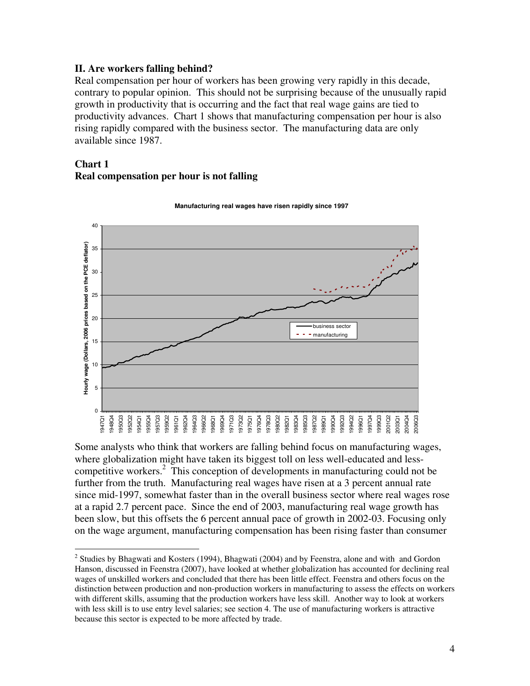#### **II. Are workers falling behind?**

Real compensation per hour of workers has been growing very rapidly in this decade, contrary to popular opinion. This should not be surprising because of the unusually rapid growth in productivity that is occurring and the fact that real wage gains are tied to productivity advances. Chart 1 shows that manufacturing compensation per hour is also rising rapidly compared with the business sector. The manufacturing data are only available since 1987.

#### **Chart 1 Real compensation per hour is not falling**



**Manufacturing real wages have risen rapidly since 1997**

Some analysts who think that workers are falling behind focus on manufacturing wages, where globalization might have taken its biggest toll on less well-educated and lesscompetitive workers.<sup>2</sup> This conception of developments in manufacturing could not be further from the truth. Manufacturing real wages have risen at a 3 percent annual rate since mid-1997, somewhat faster than in the overall business sector where real wages rose at a rapid 2.7 percent pace. Since the end of 2003, manufacturing real wage growth has been slow, but this offsets the 6 percent annual pace of growth in 2002-03. Focusing only on the wage argument, manufacturing compensation has been rising faster than consumer

 $\overline{a}$  $2$  Studies by Bhagwati and Kosters (1994), Bhagwati (2004) and by Feenstra, alone and with and Gordon Hanson, discussed in Feenstra (2007), have looked at whether globalization has accounted for declining real wages of unskilled workers and concluded that there has been little effect. Feenstra and others focus on the distinction between production and non-production workers in manufacturing to assess the effects on workers with different skills, assuming that the production workers have less skill. Another way to look at workers with less skill is to use entry level salaries; see section 4. The use of manufacturing workers is attractive because this sector is expected to be more affected by trade.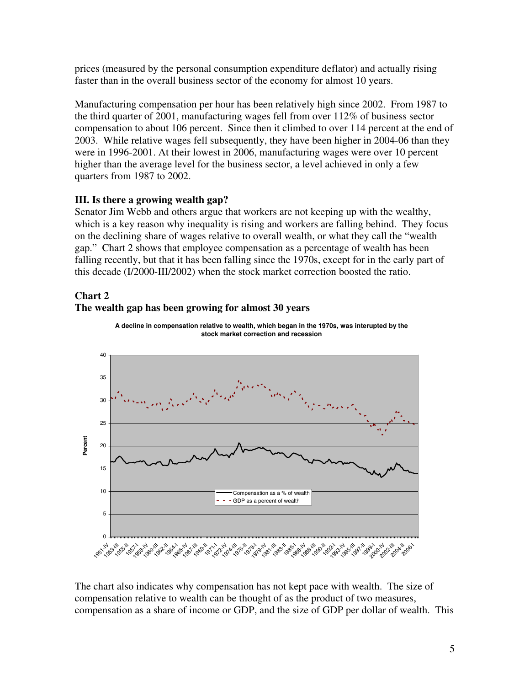prices (measured by the personal consumption expenditure deflator) and actually rising faster than in the overall business sector of the economy for almost 10 years.

Manufacturing compensation per hour has been relatively high since 2002. From 1987 to the third quarter of 2001, manufacturing wages fell from over 112% of business sector compensation to about 106 percent. Since then it climbed to over 114 percent at the end of 2003. While relative wages fell subsequently, they have been higher in 2004-06 than they were in 1996-2001. At their lowest in 2006, manufacturing wages were over 10 percent higher than the average level for the business sector, a level achieved in only a few quarters from 1987 to 2002.

## **III. Is there a growing wealth gap?**

Senator Jim Webb and others argue that workers are not keeping up with the wealthy, which is a key reason why inequality is rising and workers are falling behind. They focus on the declining share of wages relative to overall wealth, or what they call the "wealth gap." Chart 2 shows that employee compensation as a percentage of wealth has been falling recently, but that it has been falling since the 1970s, except for in the early part of this decade (I/2000-III/2002) when the stock market correction boosted the ratio.

## **Chart 2**

### **The wealth gap has been growing for almost 30 years**



**A decline in compensation relative to wealth, which began in the 1970s, was interupted by the stock market correction and recession** 

The chart also indicates why compensation has not kept pace with wealth. The size of compensation relative to wealth can be thought of as the product of two measures, compensation as a share of income or GDP, and the size of GDP per dollar of wealth. This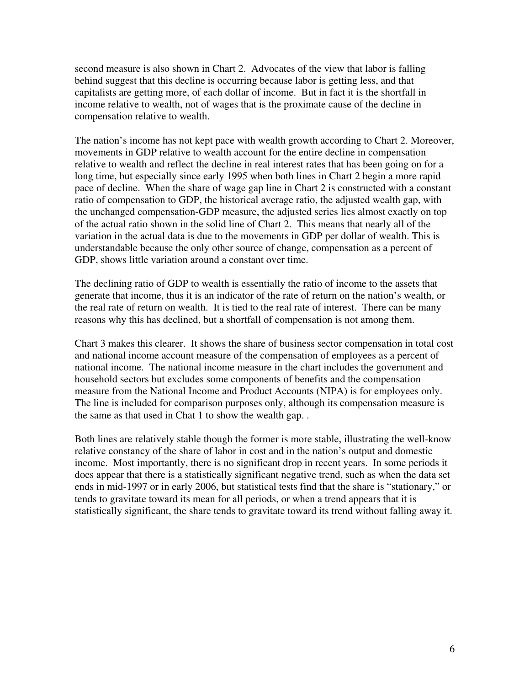second measure is also shown in Chart 2. Advocates of the view that labor is falling behind suggest that this decline is occurring because labor is getting less, and that capitalists are getting more, of each dollar of income. But in fact it is the shortfall in income relative to wealth, not of wages that is the proximate cause of the decline in compensation relative to wealth.

The nation's income has not kept pace with wealth growth according to Chart 2. Moreover, movements in GDP relative to wealth account for the entire decline in compensation relative to wealth and reflect the decline in real interest rates that has been going on for a long time, but especially since early 1995 when both lines in Chart 2 begin a more rapid pace of decline. When the share of wage gap line in Chart 2 is constructed with a constant ratio of compensation to GDP, the historical average ratio, the adjusted wealth gap, with the unchanged compensation-GDP measure, the adjusted series lies almost exactly on top of the actual ratio shown in the solid line of Chart 2. This means that nearly all of the variation in the actual data is due to the movements in GDP per dollar of wealth. This is understandable because the only other source of change, compensation as a percent of GDP, shows little variation around a constant over time.

The declining ratio of GDP to wealth is essentially the ratio of income to the assets that generate that income, thus it is an indicator of the rate of return on the nation's wealth, or the real rate of return on wealth. It is tied to the real rate of interest. There can be many reasons why this has declined, but a shortfall of compensation is not among them.

Chart 3 makes this clearer. It shows the share of business sector compensation in total cost and national income account measure of the compensation of employees as a percent of national income. The national income measure in the chart includes the government and household sectors but excludes some components of benefits and the compensation measure from the National Income and Product Accounts (NIPA) is for employees only. The line is included for comparison purposes only, although its compensation measure is the same as that used in Chat 1 to show the wealth gap. .

Both lines are relatively stable though the former is more stable, illustrating the well-know relative constancy of the share of labor in cost and in the nation's output and domestic income. Most importantly, there is no significant drop in recent years. In some periods it does appear that there is a statistically significant negative trend, such as when the data set ends in mid-1997 or in early 2006, but statistical tests find that the share is "stationary," or tends to gravitate toward its mean for all periods, or when a trend appears that it is statistically significant, the share tends to gravitate toward its trend without falling away it.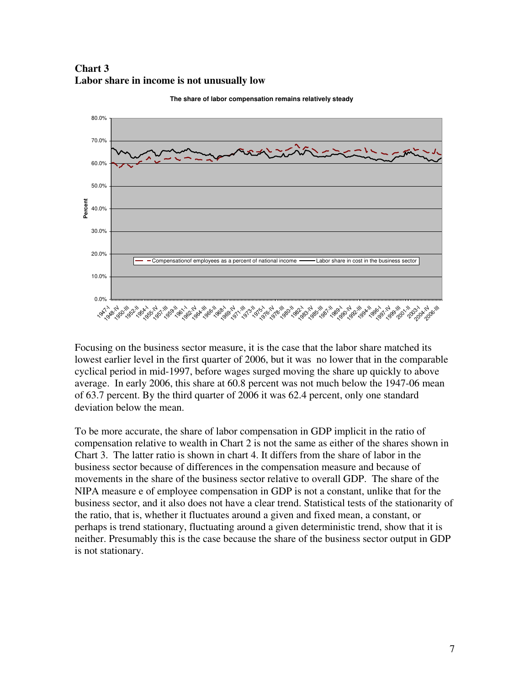**Chart 3 Labor share in income is not unusually low** 



**The share of labor compensation remains relatively steady**

Focusing on the business sector measure, it is the case that the labor share matched its lowest earlier level in the first quarter of 2006, but it was no lower that in the comparable cyclical period in mid-1997, before wages surged moving the share up quickly to above average. In early 2006, this share at 60.8 percent was not much below the 1947-06 mean of 63.7 percent. By the third quarter of 2006 it was 62.4 percent, only one standard deviation below the mean.

To be more accurate, the share of labor compensation in GDP implicit in the ratio of compensation relative to wealth in Chart 2 is not the same as either of the shares shown in Chart 3. The latter ratio is shown in chart 4. It differs from the share of labor in the business sector because of differences in the compensation measure and because of movements in the share of the business sector relative to overall GDP. The share of the NIPA measure e of employee compensation in GDP is not a constant, unlike that for the business sector, and it also does not have a clear trend. Statistical tests of the stationarity of the ratio, that is, whether it fluctuates around a given and fixed mean, a constant, or perhaps is trend stationary, fluctuating around a given deterministic trend, show that it is neither. Presumably this is the case because the share of the business sector output in GDP is not stationary.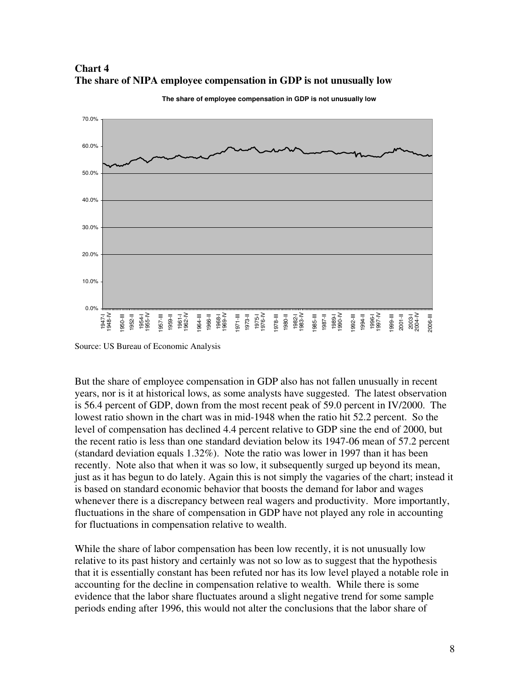

**Chart 4 The share of NIPA employee compensation in GDP is not unusually low** 

Source: US Bureau of Economic Analysis

But the share of employee compensation in GDP also has not fallen unusually in recent years, nor is it at historical lows, as some analysts have suggested. The latest observation is 56.4 percent of GDP, down from the most recent peak of 59.0 percent in IV/2000. The lowest ratio shown in the chart was in mid-1948 when the ratio hit 52.2 percent. So the level of compensation has declined 4.4 percent relative to GDP sine the end of 2000, but the recent ratio is less than one standard deviation below its 1947-06 mean of 57.2 percent (standard deviation equals 1.32%). Note the ratio was lower in 1997 than it has been recently. Note also that when it was so low, it subsequently surged up beyond its mean, just as it has begun to do lately. Again this is not simply the vagaries of the chart; instead it is based on standard economic behavior that boosts the demand for labor and wages whenever there is a discrepancy between real wagers and productivity. More importantly, fluctuations in the share of compensation in GDP have not played any role in accounting for fluctuations in compensation relative to wealth.

While the share of labor compensation has been low recently, it is not unusually low relative to its past history and certainly was not so low as to suggest that the hypothesis that it is essentially constant has been refuted nor has its low level played a notable role in accounting for the decline in compensation relative to wealth. While there is some evidence that the labor share fluctuates around a slight negative trend for some sample periods ending after 1996, this would not alter the conclusions that the labor share of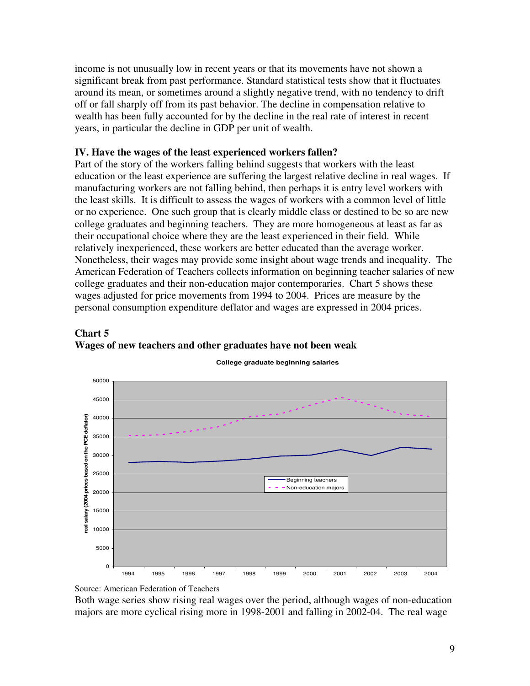income is not unusually low in recent years or that its movements have not shown a significant break from past performance. Standard statistical tests show that it fluctuates around its mean, or sometimes around a slightly negative trend, with no tendency to drift off or fall sharply off from its past behavior. The decline in compensation relative to wealth has been fully accounted for by the decline in the real rate of interest in recent years, in particular the decline in GDP per unit of wealth.

#### **IV. Have the wages of the least experienced workers fallen?**

Part of the story of the workers falling behind suggests that workers with the least education or the least experience are suffering the largest relative decline in real wages. If manufacturing workers are not falling behind, then perhaps it is entry level workers with the least skills. It is difficult to assess the wages of workers with a common level of little or no experience. One such group that is clearly middle class or destined to be so are new college graduates and beginning teachers. They are more homogeneous at least as far as their occupational choice where they are the least experienced in their field. While relatively inexperienced, these workers are better educated than the average worker. Nonetheless, their wages may provide some insight about wage trends and inequality. The American Federation of Teachers collects information on beginning teacher salaries of new college graduates and their non-education major contemporaries. Chart 5 shows these wages adjusted for price movements from 1994 to 2004. Prices are measure by the personal consumption expenditure deflator and wages are expressed in 2004 prices.





**College graduate beginning salaries**

Source: American Federation of Teachers

Both wage series show rising real wages over the period, although wages of non-education majors are more cyclical rising more in 1998-2001 and falling in 2002-04. The real wage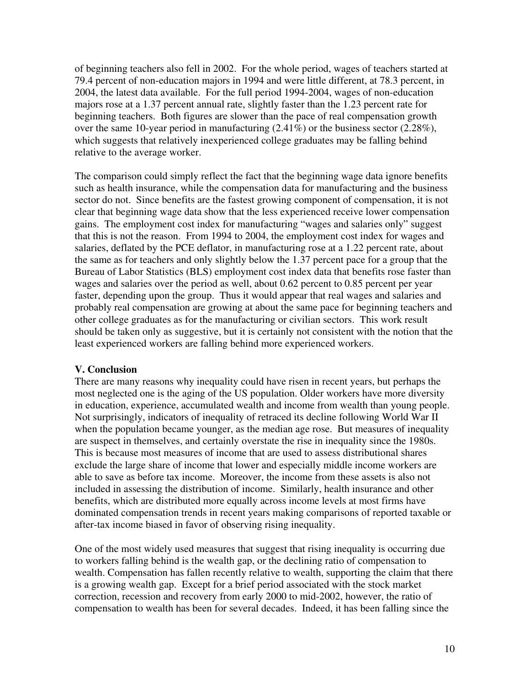of beginning teachers also fell in 2002. For the whole period, wages of teachers started at 79.4 percent of non-education majors in 1994 and were little different, at 78.3 percent, in 2004, the latest data available. For the full period 1994-2004, wages of non-education majors rose at a 1.37 percent annual rate, slightly faster than the 1.23 percent rate for beginning teachers. Both figures are slower than the pace of real compensation growth over the same 10-year period in manufacturing (2.41%) or the business sector (2.28%), which suggests that relatively inexperienced college graduates may be falling behind relative to the average worker.

The comparison could simply reflect the fact that the beginning wage data ignore benefits such as health insurance, while the compensation data for manufacturing and the business sector do not. Since benefits are the fastest growing component of compensation, it is not clear that beginning wage data show that the less experienced receive lower compensation gains. The employment cost index for manufacturing "wages and salaries only" suggest that this is not the reason. From 1994 to 2004, the employment cost index for wages and salaries, deflated by the PCE deflator, in manufacturing rose at a 1.22 percent rate, about the same as for teachers and only slightly below the 1.37 percent pace for a group that the Bureau of Labor Statistics (BLS) employment cost index data that benefits rose faster than wages and salaries over the period as well, about 0.62 percent to 0.85 percent per year faster, depending upon the group. Thus it would appear that real wages and salaries and probably real compensation are growing at about the same pace for beginning teachers and other college graduates as for the manufacturing or civilian sectors. This work result should be taken only as suggestive, but it is certainly not consistent with the notion that the least experienced workers are falling behind more experienced workers.

#### **V. Conclusion**

There are many reasons why inequality could have risen in recent years, but perhaps the most neglected one is the aging of the US population. Older workers have more diversity in education, experience, accumulated wealth and income from wealth than young people. Not surprisingly, indicators of inequality of retraced its decline following World War II when the population became younger, as the median age rose. But measures of inequality are suspect in themselves, and certainly overstate the rise in inequality since the 1980s. This is because most measures of income that are used to assess distributional shares exclude the large share of income that lower and especially middle income workers are able to save as before tax income. Moreover, the income from these assets is also not included in assessing the distribution of income. Similarly, health insurance and other benefits, which are distributed more equally across income levels at most firms have dominated compensation trends in recent years making comparisons of reported taxable or after-tax income biased in favor of observing rising inequality.

One of the most widely used measures that suggest that rising inequality is occurring due to workers falling behind is the wealth gap, or the declining ratio of compensation to wealth. Compensation has fallen recently relative to wealth, supporting the claim that there is a growing wealth gap. Except for a brief period associated with the stock market correction, recession and recovery from early 2000 to mid-2002, however, the ratio of compensation to wealth has been for several decades. Indeed, it has been falling since the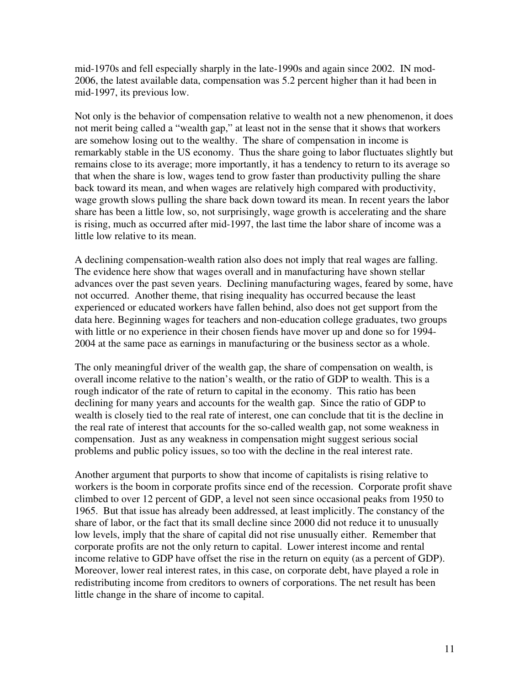mid-1970s and fell especially sharply in the late-1990s and again since 2002. IN mod-2006, the latest available data, compensation was 5.2 percent higher than it had been in mid-1997, its previous low.

Not only is the behavior of compensation relative to wealth not a new phenomenon, it does not merit being called a "wealth gap," at least not in the sense that it shows that workers are somehow losing out to the wealthy. The share of compensation in income is remarkably stable in the US economy. Thus the share going to labor fluctuates slightly but remains close to its average; more importantly, it has a tendency to return to its average so that when the share is low, wages tend to grow faster than productivity pulling the share back toward its mean, and when wages are relatively high compared with productivity, wage growth slows pulling the share back down toward its mean. In recent years the labor share has been a little low, so, not surprisingly, wage growth is accelerating and the share is rising, much as occurred after mid-1997, the last time the labor share of income was a little low relative to its mean.

A declining compensation-wealth ration also does not imply that real wages are falling. The evidence here show that wages overall and in manufacturing have shown stellar advances over the past seven years. Declining manufacturing wages, feared by some, have not occurred. Another theme, that rising inequality has occurred because the least experienced or educated workers have fallen behind, also does not get support from the data here. Beginning wages for teachers and non-education college graduates, two groups with little or no experience in their chosen fiends have mover up and done so for 1994- 2004 at the same pace as earnings in manufacturing or the business sector as a whole.

The only meaningful driver of the wealth gap, the share of compensation on wealth, is overall income relative to the nation's wealth, or the ratio of GDP to wealth. This is a rough indicator of the rate of return to capital in the economy. This ratio has been declining for many years and accounts for the wealth gap. Since the ratio of GDP to wealth is closely tied to the real rate of interest, one can conclude that tit is the decline in the real rate of interest that accounts for the so-called wealth gap, not some weakness in compensation. Just as any weakness in compensation might suggest serious social problems and public policy issues, so too with the decline in the real interest rate.

Another argument that purports to show that income of capitalists is rising relative to workers is the boom in corporate profits since end of the recession. Corporate profit shave climbed to over 12 percent of GDP, a level not seen since occasional peaks from 1950 to 1965. But that issue has already been addressed, at least implicitly. The constancy of the share of labor, or the fact that its small decline since 2000 did not reduce it to unusually low levels, imply that the share of capital did not rise unusually either. Remember that corporate profits are not the only return to capital. Lower interest income and rental income relative to GDP have offset the rise in the return on equity (as a percent of GDP). Moreover, lower real interest rates, in this case, on corporate debt, have played a role in redistributing income from creditors to owners of corporations. The net result has been little change in the share of income to capital.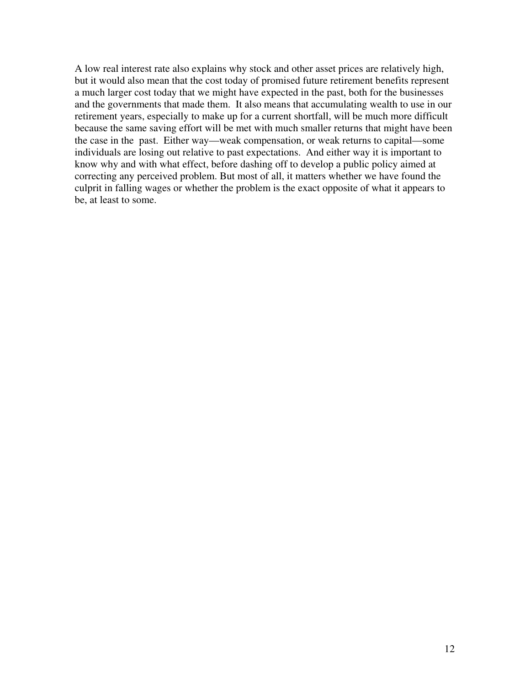A low real interest rate also explains why stock and other asset prices are relatively high, but it would also mean that the cost today of promised future retirement benefits represent a much larger cost today that we might have expected in the past, both for the businesses and the governments that made them. It also means that accumulating wealth to use in our retirement years, especially to make up for a current shortfall, will be much more difficult because the same saving effort will be met with much smaller returns that might have been the case in the past. Either way—weak compensation, or weak returns to capital—some individuals are losing out relative to past expectations. And either way it is important to know why and with what effect, before dashing off to develop a public policy aimed at correcting any perceived problem. But most of all, it matters whether we have found the culprit in falling wages or whether the problem is the exact opposite of what it appears to be, at least to some.